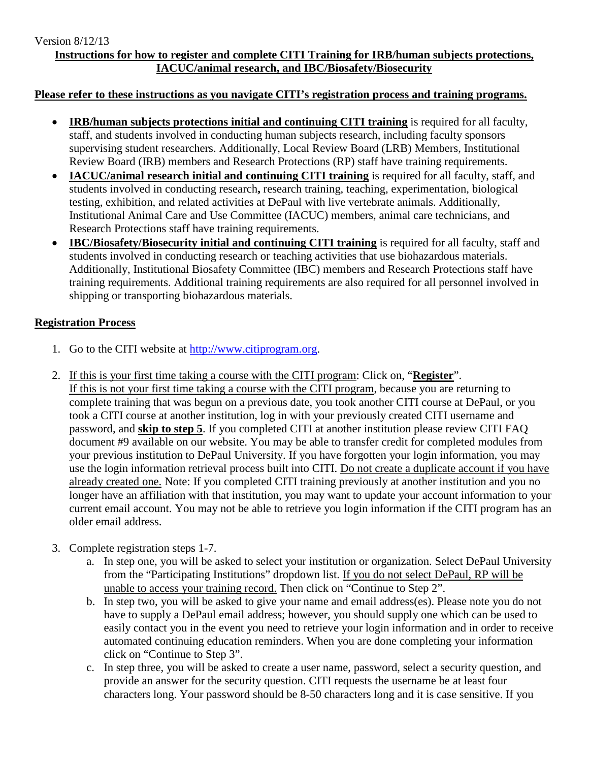Version 8/12/13

## **Instructions for how to register and complete CITI Training for IRB/human subjects protections, IACUC/animal research, and IBC/Biosafety/Biosecurity**

### **Please refer to these instructions as you navigate CITI's registration process and training programs.**

- **IRB/human subjects protections initial and continuing CITI training** is required for all faculty, staff, and students involved in conducting human subjects research, including faculty sponsors supervising student researchers. Additionally, Local Review Board (LRB) Members, Institutional Review Board (IRB) members and Research Protections (RP) staff have training requirements.
- **IACUC/animal research initial and continuing CITI training** is required for all faculty, staff, and students involved in conducting research**,** research training, teaching, experimentation, biological testing, exhibition, and related activities at DePaul with live vertebrate animals. Additionally, Institutional Animal Care and Use Committee (IACUC) members, animal care technicians, and Research Protections staff have training requirements.
- **IBC/Biosafety/Biosecurity initial and continuing CITI training** is required for all faculty, staff and students involved in conducting research or teaching activities that use biohazardous materials. Additionally, Institutional Biosafety Committee (IBC) members and Research Protections staff have training requirements. Additional training requirements are also required for all personnel involved in shipping or transporting biohazardous materials.

# **Registration Process**

- 1. Go to the CITI website at [http://www.citiprogram.org.](http://www.citiprogram.org/)
- 2. If this is your first time taking a course with the CITI program: Click on, "**Register**". If this is not your first time taking a course with the CITI program, because you are returning to complete training that was begun on a previous date, you took another CITI course at DePaul, or you took a CITI course at another institution, log in with your previously created CITI username and password, and **skip to step 5**. If you completed CITI at another institution please review CITI FAQ document #9 available on our website. You may be able to transfer credit for completed modules from your previous institution to DePaul University. If you have forgotten your login information, you may use the login information retrieval process built into CITI. Do not create a duplicate account if you have already created one. Note: If you completed CITI training previously at another institution and you no longer have an affiliation with that institution, you may want to update your account information to your current email account. You may not be able to retrieve you login information if the CITI program has an older email address.
- 3. Complete registration steps 1-7.
	- a. In step one, you will be asked to select your institution or organization. Select DePaul University from the "Participating Institutions" dropdown list. If you do not select DePaul, RP will be unable to access your training record. Then click on "Continue to Step 2".
	- b. In step two, you will be asked to give your name and email address(es). Please note you do not have to supply a DePaul email address; however, you should supply one which can be used to easily contact you in the event you need to retrieve your login information and in order to receive automated continuing education reminders. When you are done completing your information click on "Continue to Step 3".
	- c. In step three, you will be asked to create a user name, password, select a security question, and provide an answer for the security question. CITI requests the username be at least four characters long. Your password should be 8-50 characters long and it is case sensitive. If you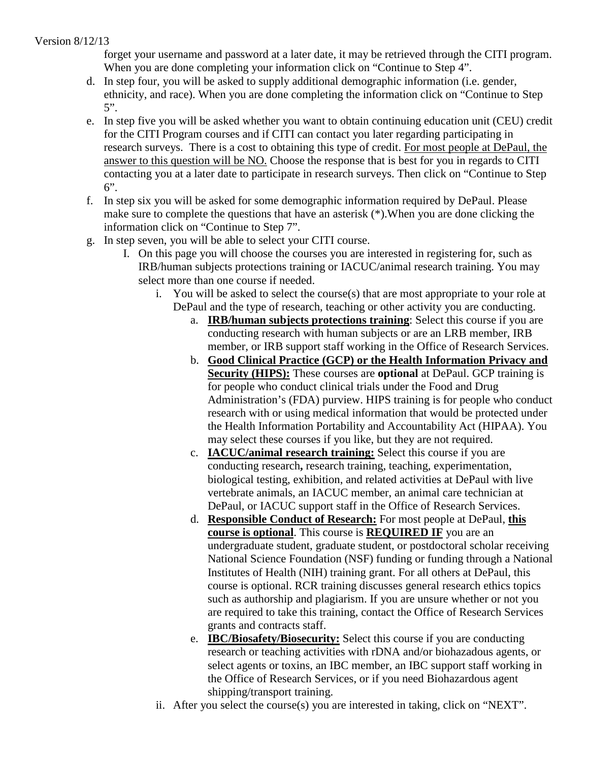forget your username and password at a later date, it may be retrieved through the CITI program. When you are done completing your information click on "Continue to Step 4".

- d. In step four, you will be asked to supply additional demographic information (i.e. gender, ethnicity, and race). When you are done completing the information click on "Continue to Step 5".
- e. In step five you will be asked whether you want to obtain continuing education unit (CEU) credit for the CITI Program courses and if CITI can contact you later regarding participating in research surveys. There is a cost to obtaining this type of credit. For most people at DePaul, the answer to this question will be NO. Choose the response that is best for you in regards to CITI contacting you at a later date to participate in research surveys. Then click on "Continue to Step  $6$ ".
- f. In step six you will be asked for some demographic information required by DePaul. Please make sure to complete the questions that have an asterisk (\*).When you are done clicking the information click on "Continue to Step 7".
- g. In step seven, you will be able to select your CITI course.
	- I. On this page you will choose the courses you are interested in registering for, such as IRB/human subjects protections training or IACUC/animal research training. You may select more than one course if needed.
		- i. You will be asked to select the course $(s)$  that are most appropriate to your role at DePaul and the type of research, teaching or other activity you are conducting.
			- a. **IRB/human subjects protections training**: Select this course if you are conducting research with human subjects or are an LRB member, IRB member, or IRB support staff working in the Office of Research Services.
			- b. **Good Clinical Practice (GCP) or the Health Information Privacy and Security (HIPS):** These courses are **optional** at DePaul. GCP training is for people who conduct clinical trials under the Food and Drug Administration's (FDA) purview. HIPS training is for people who conduct research with or using medical information that would be protected under the Health Information Portability and Accountability Act (HIPAA). You may select these courses if you like, but they are not required.
			- c. **IACUC/animal research training:** Select this course if you are conducting research**,** research training, teaching, experimentation, biological testing, exhibition, and related activities at DePaul with live vertebrate animals, an IACUC member, an animal care technician at DePaul, or IACUC support staff in the Office of Research Services.
			- d. **Responsible Conduct of Research:** For most people at DePaul, **this course is optional**. This course is **REQUIRED IF** you are an undergraduate student, graduate student, or postdoctoral scholar receiving National Science Foundation (NSF) funding or funding through a National Institutes of Health (NIH) training grant. For all others at DePaul, this course is optional. RCR training discusses general research ethics topics such as authorship and plagiarism. If you are unsure whether or not you are required to take this training, contact the Office of Research Services grants and contracts staff.
			- e. **IBC/Biosafety/Biosecurity:** Select this course if you are conducting research or teaching activities with rDNA and/or biohazadous agents, or select agents or toxins, an IBC member, an IBC support staff working in the Office of Research Services, or if you need Biohazardous agent shipping/transport training.
		- ii. After you select the course(s) you are interested in taking, click on "NEXT".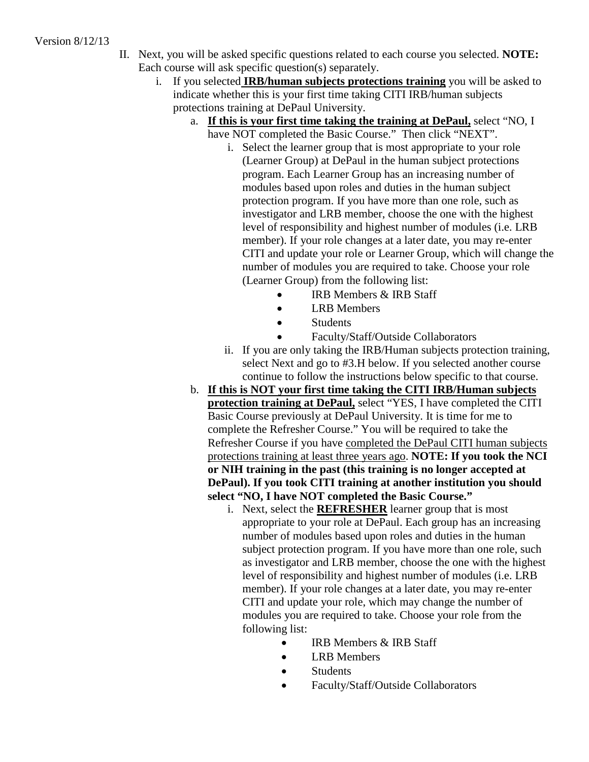- II. Next, you will be asked specific questions related to each course you selected. **NOTE:** Each course will ask specific question(s) separately.
	- i. If you selected **IRB/human subjects protections training** you will be asked to indicate whether this is your first time taking CITI IRB/human subjects protections training at DePaul University.
		- a. **If this is your first time taking the training at DePaul,** select "NO, I have NOT completed the Basic Course." Then click "NEXT".
			- i. Select the learner group that is most appropriate to your role (Learner Group) at DePaul in the human subject protections program. Each Learner Group has an increasing number of modules based upon roles and duties in the human subject protection program. If you have more than one role, such as investigator and LRB member, choose the one with the highest level of responsibility and highest number of modules (i.e. LRB member). If your role changes at a later date, you may re-enter CITI and update your role or Learner Group, which will change the number of modules you are required to take. Choose your role (Learner Group) from the following list:
				- **IRB Members & IRB Staff**
				- LRB Members
				- Students
					- Faculty/Staff/Outside Collaborators
			- ii. If you are only taking the IRB/Human subjects protection training, select Next and go to #3.H below. If you selected another course continue to follow the instructions below specific to that course.
		- b. **If this is NOT your first time taking the CITI IRB/Human subjects protection training at DePaul,** select "YES, I have completed the CITI Basic Course previously at DePaul University. It is time for me to complete the Refresher Course." You will be required to take the Refresher Course if you have completed the DePaul CITI human subjects protections training at least three years ago. **NOTE: If you took the NCI or NIH training in the past (this training is no longer accepted at DePaul). If you took CITI training at another institution you should select "NO, I have NOT completed the Basic Course."**
			- i. Next, select the **REFRESHER** learner group that is most appropriate to your role at DePaul. Each group has an increasing number of modules based upon roles and duties in the human subject protection program. If you have more than one role, such as investigator and LRB member, choose the one with the highest level of responsibility and highest number of modules (i.e. LRB member). If your role changes at a later date, you may re-enter CITI and update your role, which may change the number of modules you are required to take. Choose your role from the following list:
				- **IRB Members & IRB Staff**
				- LRB Members
				- Students
				- Faculty/Staff/Outside Collaborators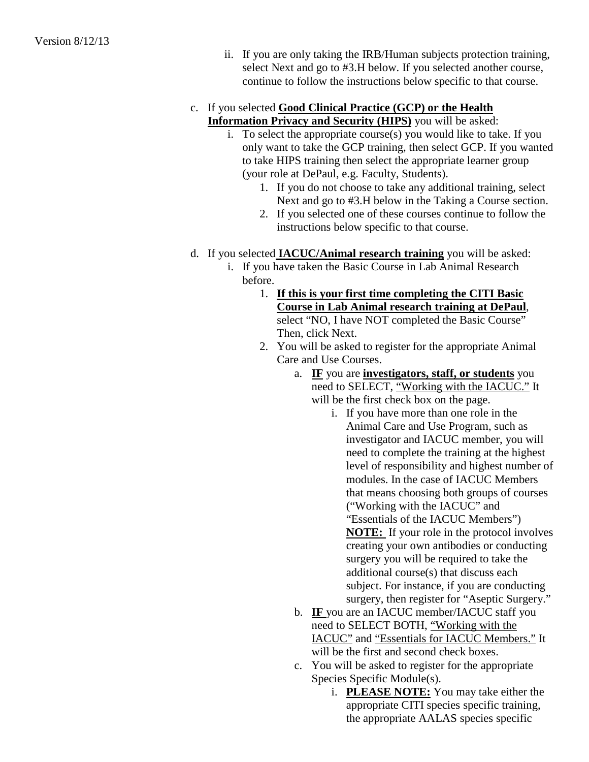- ii. If you are only taking the IRB/Human subjects protection training, select Next and go to #3.H below. If you selected another course, continue to follow the instructions below specific to that course.
- c. If you selected **Good Clinical Practice (GCP) or the Health Information Privacy and Security (HIPS)** you will be asked:
	- i. To select the appropriate course(s) you would like to take. If you only want to take the GCP training, then select GCP. If you wanted to take HIPS training then select the appropriate learner group (your role at DePaul, e.g. Faculty, Students).
		- 1. If you do not choose to take any additional training, select Next and go to #3.H below in the Taking a Course section.
		- 2. If you selected one of these courses continue to follow the instructions below specific to that course.
- d. If you selected **IACUC/Animal research training** you will be asked:
	- i. If you have taken the Basic Course in Lab Animal Research before.
		- 1. **If this is your first time completing the CITI Basic Course in Lab Animal research training at DePaul**, select "NO, I have NOT completed the Basic Course" Then, click Next.
		- 2. You will be asked to register for the appropriate Animal Care and Use Courses.
			- a. **IF** you are **investigators, staff, or students** you need to SELECT, "Working with the IACUC." It will be the first check box on the page.
				- i. If you have more than one role in the Animal Care and Use Program, such as investigator and IACUC member, you will need to complete the training at the highest level of responsibility and highest number of modules. In the case of IACUC Members that means choosing both groups of courses ("Working with the IACUC" and "Essentials of the IACUC Members") **NOTE:** If your role in the protocol involves creating your own antibodies or conducting surgery you will be required to take the additional course(s) that discuss each subject. For instance, if you are conducting surgery, then register for "Aseptic Surgery."
			- b. **IF** you are an IACUC member/IACUC staff you need to SELECT BOTH, "Working with the IACUC" and "Essentials for IACUC Members." It will be the first and second check boxes.
			- c. You will be asked to register for the appropriate Species Specific Module(s).
				- i. **PLEASE NOTE:** You may take either the appropriate CITI species specific training, the appropriate AALAS species specific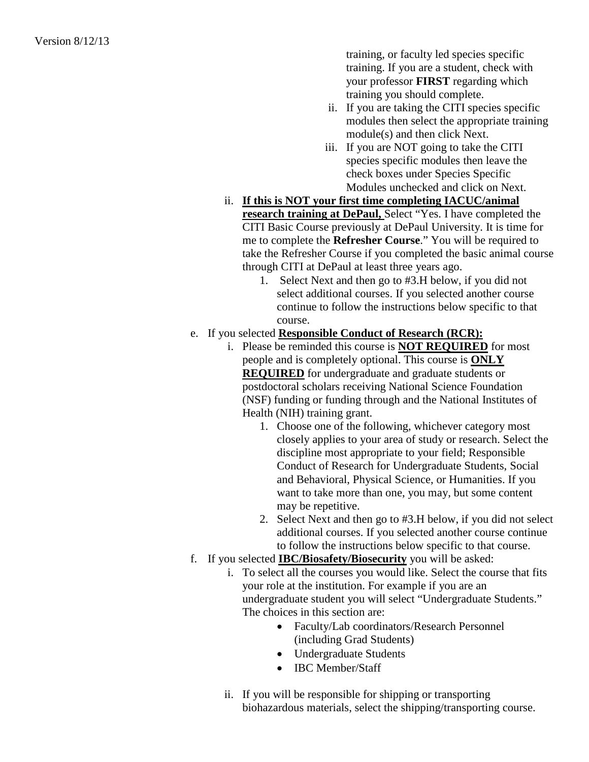training, or faculty led species specific training. If you are a student, check with your professor **FIRST** regarding which training you should complete.

- ii. If you are taking the CITI species specific modules then select the appropriate training module(s) and then click Next.
- iii. If you are NOT going to take the CITI species specific modules then leave the check boxes under Species Specific Modules unchecked and click on Next.
- ii. **If this is NOT your first time completing IACUC/animal research training at DePaul,** Select "Yes. I have completed the CITI Basic Course previously at DePaul University. It is time for me to complete the **Refresher Course**." You will be required to take the Refresher Course if you completed the basic animal course through CITI at DePaul at least three years ago.
	- 1. Select Next and then go to #3.H below, if you did not select additional courses. If you selected another course continue to follow the instructions below specific to that course.
- e. If you selected **Responsible Conduct of Research (RCR):**
	- i. Please be reminded this course is **NOT REQUIRED** for most people and is completely optional. This course is **ONLY REQUIRED** for undergraduate and graduate students or postdoctoral scholars receiving National Science Foundation (NSF) funding or funding through and the National Institutes of Health (NIH) training grant.
		- 1. Choose one of the following, whichever category most closely applies to your area of study or research. Select the discipline most appropriate to your field; Responsible Conduct of Research for Undergraduate Students, Social and Behavioral, Physical Science, or Humanities. If you want to take more than one, you may, but some content may be repetitive.
		- 2. Select Next and then go to #3.H below, if you did not select additional courses. If you selected another course continue to follow the instructions below specific to that course.
- f. If you selected **IBC/Biosafety/Biosecurity** you will be asked:
	- i. To select all the courses you would like. Select the course that fits your role at the institution. For example if you are an undergraduate student you will select "Undergraduate Students." The choices in this section are:
		- Faculty/Lab coordinators/Research Personnel (including Grad Students)
		- Undergraduate Students
		- **IBC** Member/Staff
	- ii. If you will be responsible for shipping or transporting biohazardous materials, select the shipping/transporting course.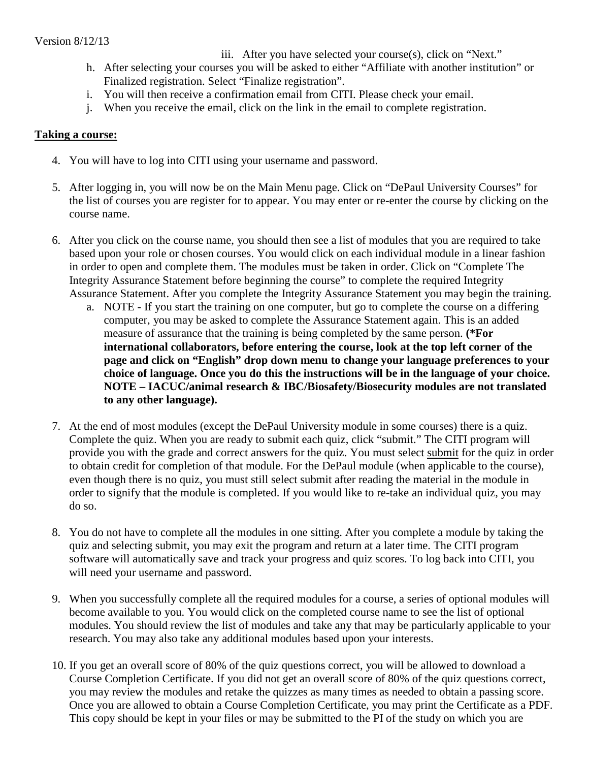- iii. After you have selected your course(s), click on "Next."
- h. After selecting your courses you will be asked to either "Affiliate with another institution" or Finalized registration. Select "Finalize registration".
- i. You will then receive a confirmation email from CITI. Please check your email.
- j. When you receive the email, click on the link in the email to complete registration.

### **Taking a course:**

- 4. You will have to log into CITI using your username and password.
- 5. After logging in, you will now be on the Main Menu page. Click on "DePaul University Courses" for the list of courses you are register for to appear. You may enter or re-enter the course by clicking on the course name.
- 6. After you click on the course name, you should then see a list of modules that you are required to take based upon your role or chosen courses. You would click on each individual module in a linear fashion in order to open and complete them. The modules must be taken in order. Click on "Complete The Integrity Assurance Statement before beginning the course" to complete the required Integrity Assurance Statement. After you complete the Integrity Assurance Statement you may begin the training.
	- a. NOTE If you start the training on one computer, but go to complete the course on a differing computer, you may be asked to complete the Assurance Statement again. This is an added measure of assurance that the training is being completed by the same person. **(\*For international collaborators, before entering the course, look at the top left corner of the page and click on "English" drop down menu to change your language preferences to your choice of language. Once you do this the instructions will be in the language of your choice. NOTE – IACUC/animal research & IBC/Biosafety/Biosecurity modules are not translated to any other language).**
- 7. At the end of most modules (except the DePaul University module in some courses) there is a quiz. Complete the quiz. When you are ready to submit each quiz, click "submit." The CITI program will provide you with the grade and correct answers for the quiz. You must select submit for the quiz in order to obtain credit for completion of that module. For the DePaul module (when applicable to the course), even though there is no quiz, you must still select submit after reading the material in the module in order to signify that the module is completed. If you would like to re-take an individual quiz, you may do so.
- 8. You do not have to complete all the modules in one sitting. After you complete a module by taking the quiz and selecting submit, you may exit the program and return at a later time. The CITI program software will automatically save and track your progress and quiz scores. To log back into CITI, you will need your username and password.
- 9. When you successfully complete all the required modules for a course, a series of optional modules will become available to you. You would click on the completed course name to see the list of optional modules. You should review the list of modules and take any that may be particularly applicable to your research. You may also take any additional modules based upon your interests.
- 10. If you get an overall score of 80% of the quiz questions correct, you will be allowed to download a Course Completion Certificate. If you did not get an overall score of 80% of the quiz questions correct, you may review the modules and retake the quizzes as many times as needed to obtain a passing score. Once you are allowed to obtain a Course Completion Certificate, you may print the Certificate as a PDF. This copy should be kept in your files or may be submitted to the PI of the study on which you are